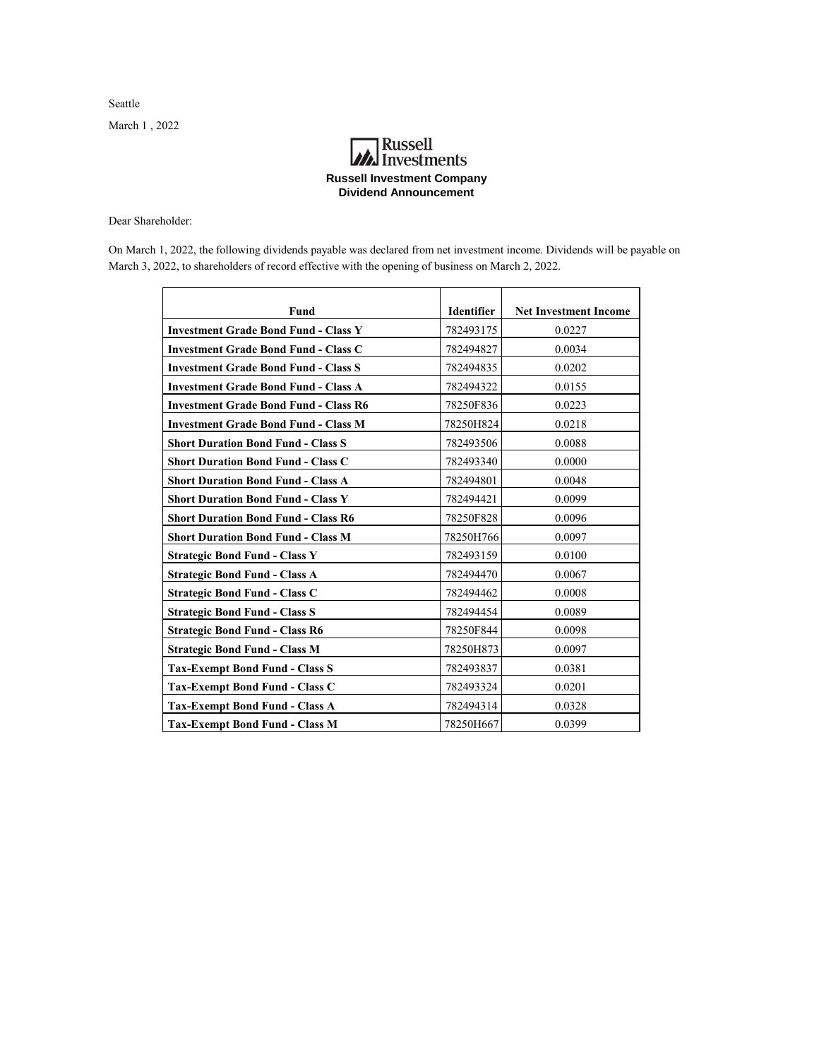Seattle March 1 , 2022

## **A**<br>Investments **Russell Investment Company Dividend Announcement**

Dear Shareholder:

On March 1, 2022, the following dividends payable was declared from net investment income. Dividends will be payable on March 3, 2022, to shareholders of record effective with the opening of business on March 2, 2022.

| Fund                                         | <b>Identifier</b> | <b>Net Investment Income</b> |
|----------------------------------------------|-------------------|------------------------------|
| <b>Investment Grade Bond Fund - Class Y</b>  | 782493175         | 0.0227                       |
| <b>Investment Grade Bond Fund - Class C</b>  | 782494827         | 0.0034                       |
| <b>Investment Grade Bond Fund - Class S</b>  | 782494835         | 0.0202                       |
| <b>Investment Grade Bond Fund - Class A</b>  | 782494322         | 0.0155                       |
| <b>Investment Grade Bond Fund - Class R6</b> | 78250F836         | 0.0223                       |
| <b>Investment Grade Bond Fund - Class M</b>  | 78250H824         | 0.0218                       |
| <b>Short Duration Bond Fund - Class S</b>    | 782493506         | 0.0088                       |
| <b>Short Duration Bond Fund - Class C</b>    | 782493340         | 0.0000                       |
| <b>Short Duration Bond Fund - Class A</b>    | 782494801         | 0.0048                       |
| <b>Short Duration Bond Fund - Class Y</b>    | 782494421         | 0.0099                       |
| <b>Short Duration Bond Fund - Class R6</b>   | 78250F828         | 0.0096                       |
| <b>Short Duration Bond Fund - Class M</b>    | 78250H766         | 0.0097                       |
| <b>Strategic Bond Fund - Class Y</b>         | 782493159         | 0.0100                       |
| <b>Strategic Bond Fund - Class A</b>         | 782494470         | 0.0067                       |
| <b>Strategic Bond Fund - Class C</b>         | 782494462         | 0.0008                       |
| <b>Strategic Bond Fund - Class S</b>         | 782494454         | 0.0089                       |
| <b>Strategic Bond Fund - Class R6</b>        | 78250F844         | 0.0098                       |
| <b>Strategic Bond Fund - Class M</b>         | 78250H873         | 0.0097                       |
| <b>Tax-Exempt Bond Fund - Class S</b>        | 782493837         | 0.0381                       |
| <b>Tax-Exempt Bond Fund - Class C</b>        | 782493324         | 0.0201                       |
| <b>Tax-Exempt Bond Fund - Class A</b>        | 782494314         | 0.0328                       |
| <b>Tax-Exempt Bond Fund - Class M</b>        | 78250H667         | 0.0399                       |